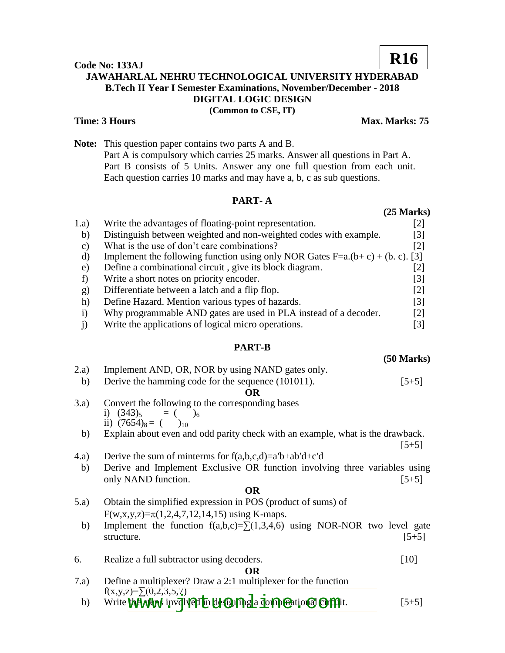### **Code No: 133AJ JAWAHARLAL NEHRU TECHNOLOGICAL UNIVERSITY HYDERABAD B.Tech II Year I Semester Examinations, November/December - 2018 DIGITAL LOGIC DESIGN (Common to CSE, IT) R16**

#### **Time: 3 Hours Max. Marks: 75**

**(50 Marks)**

**Note:** This question paper contains two parts A and B. Part A is compulsory which carries 25 marks. Answer all questions in Part A. Part B consists of 5 Units. Answer any one full question from each unit. Each question carries 10 marks and may have a, b, c as sub questions.

# **PART- A**

|               |                                                                               | $(25 \text{ Marks})$ |
|---------------|-------------------------------------------------------------------------------|----------------------|
| 1.a)          | Write the advantages of floating-point representation.                        | [2]                  |
| b)            | Distinguish between weighted and non-weighted codes with example.             | $\lceil 3 \rceil$    |
| $\mathbf{c})$ | What is the use of don't care combinations?                                   | $\lceil 2 \rceil$    |
| d)            | Implement the following function using only NOR Gates F=a.(b+c) + (b. c). [3] |                      |
| e)            | Define a combinational circuit, give its block diagram.                       | [2]                  |
| f)            | Write a short notes on priority encoder.                                      | [3]                  |
| g)            | Differentiate between a latch and a flip flop.                                | $\lceil 2 \rceil$    |
| h)            | Define Hazard. Mention various types of hazards.                              | $\lceil 3 \rceil$    |
| $\mathbf{i}$  | Why programmable AND gates are used in PLA instead of a decoder.              | $\lceil 2 \rceil$    |
|               | Write the applications of logical micro operations.                           | [3]                  |

### **PART-B**

| 2.a)<br>b) | Implement AND, OR, NOR by using NAND gates only.<br>Derive the hamming code for the sequence (101011).  | $[5+5]$ |
|------------|---------------------------------------------------------------------------------------------------------|---------|
|            | <b>OR</b>                                                                                               |         |
| 3.a)       | Convert the following to the corresponding bases<br>i) $(343)_5 = ( )_6$<br>ii) $(7654)_8 = ($ $)_{10}$ |         |
| b)         | Explain about even and odd parity check with an example, what is the drawback.                          |         |
|            |                                                                                                         | $[5+5]$ |
| (4.a)      | Derive the sum of minterms for $f(a,b,c,d)=a'b+ab'd+c'd$                                                |         |
| b)         | Derive and Implement Exclusive OR function involving three variables using<br>only NAND function.       | $[5+5]$ |
|            | <b>OR</b>                                                                                               |         |
| (5.a)      | Obtain the simplified expression in POS (product of sums) of                                            |         |
|            | $F(w,x,y,z)=\pi(1,2,4,7,12,14,15)$ using K-maps.                                                        |         |
| b)         | Implement the function $f(a,b,c)=\sum(1,3,4,6)$ using NOR-NOR two level gate<br>structure.              | $[5+5]$ |
| 6.         | Realize a full subtractor using decoders.                                                               | [10]    |
|            | <b>OR</b>                                                                                               |         |
| 7.a)       | Define a multiplexer? Draw a 2:1 multiplexer for the function                                           |         |
| b)         | $f(x,y,z)=\sum (0,2,3,5,7)$<br>Write the Arga involved in designing a compensional circuit.             | $ 5+5 $ |
|            |                                                                                                         |         |